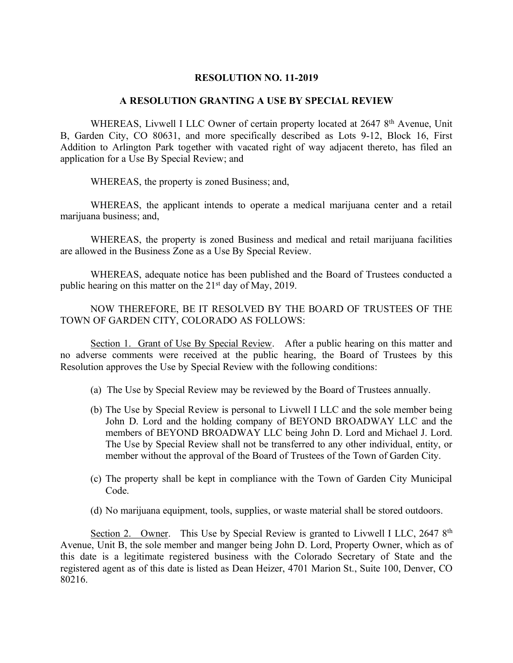## **RESOLUTION NO. 11-2019**

## **A RESOLUTION GRANTING A USE BY SPECIAL REVIEW**

WHEREAS, Livwell I LLC Owner of certain property located at 2647 8<sup>th</sup> Avenue, Unit B, Garden City, CO 80631, and more specifically described as Lots 9-12, Block 16, First Addition to Arlington Park together with vacated right of way adjacent thereto, has filed an application for a Use By Special Review; and

WHEREAS, the property is zoned Business; and,

WHEREAS, the applicant intends to operate a medical marijuana center and a retail marijuana business; and,

WHEREAS, the property is zoned Business and medical and retail marijuana facilities are allowed in the Business Zone as a Use By Special Review.

WHEREAS, adequate notice has been published and the Board of Trustees conducted a public hearing on this matter on the 21<sup>st</sup> day of May, 2019.

NOW THEREFORE, BE IT RESOLVED BY THE BOARD OF TRUSTEES OF THE TOWN OF GARDEN CITY, COLORADO AS FOLLOWS:

Section 1. Grant of Use By Special Review. After a public hearing on this matter and no adverse comments were received at the public hearing, the Board of Trustees by this Resolution approves the Use by Special Review with the following conditions:

- (a) The Use by Special Review may be reviewed by the Board of Trustees annually.
- (b) The Use by Special Review is personal to Livwell I LLC and the sole member being John D. Lord and the holding company of BEYOND BROADWAY LLC and the members of BEYOND BROADWAY LLC being John D. Lord and Michael J. Lord. The Use by Special Review shall not be transferred to any other individual, entity, or member without the approval of the Board of Trustees of the Town of Garden City.
- (c) The property shall be kept in compliance with the Town of Garden City Municipal Code.
- (d) No marijuana equipment, tools, supplies, or waste material shall be stored outdoors.

Section 2. Owner. This Use by Special Review is granted to Livwell I LLC, 2647 8<sup>th</sup> Avenue, Unit B, the sole member and manger being John D. Lord, Property Owner, which as of this date is a legitimate registered business with the Colorado Secretary of State and the registered agent as of this date is listed as Dean Heizer, 4701 Marion St., Suite 100, Denver, CO 80216.